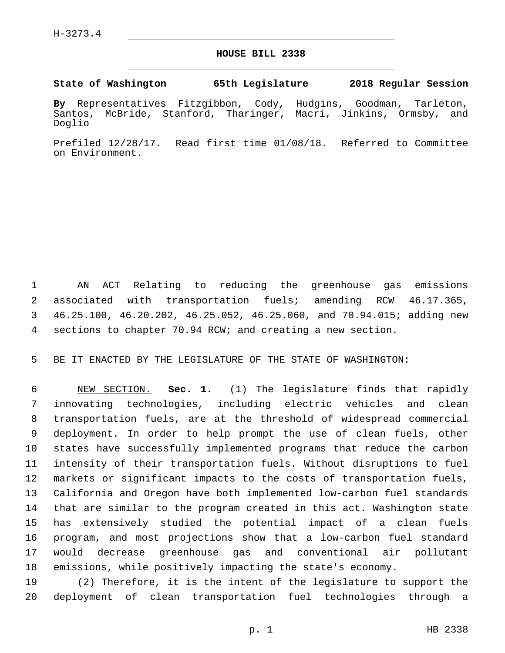## **HOUSE BILL 2338**

**State of Washington 65th Legislature 2018 Regular Session**

**By** Representatives Fitzgibbon, Cody, Hudgins, Goodman, Tarleton, Santos, McBride, Stanford, Tharinger, Macri, Jinkins, Ormsby, and Doglio

Prefiled 12/28/17. Read first time 01/08/18. Referred to Committee on Environment.

 AN ACT Relating to reducing the greenhouse gas emissions associated with transportation fuels; amending RCW 46.17.365, 46.25.100, 46.20.202, 46.25.052, 46.25.060, and 70.94.015; adding new sections to chapter 70.94 RCW; and creating a new section.

BE IT ENACTED BY THE LEGISLATURE OF THE STATE OF WASHINGTON:

 NEW SECTION. **Sec. 1.** (1) The legislature finds that rapidly innovating technologies, including electric vehicles and clean transportation fuels, are at the threshold of widespread commercial deployment. In order to help prompt the use of clean fuels, other states have successfully implemented programs that reduce the carbon intensity of their transportation fuels. Without disruptions to fuel markets or significant impacts to the costs of transportation fuels, California and Oregon have both implemented low-carbon fuel standards that are similar to the program created in this act. Washington state has extensively studied the potential impact of a clean fuels program, and most projections show that a low-carbon fuel standard would decrease greenhouse gas and conventional air pollutant emissions, while positively impacting the state's economy.

 (2) Therefore, it is the intent of the legislature to support the deployment of clean transportation fuel technologies through a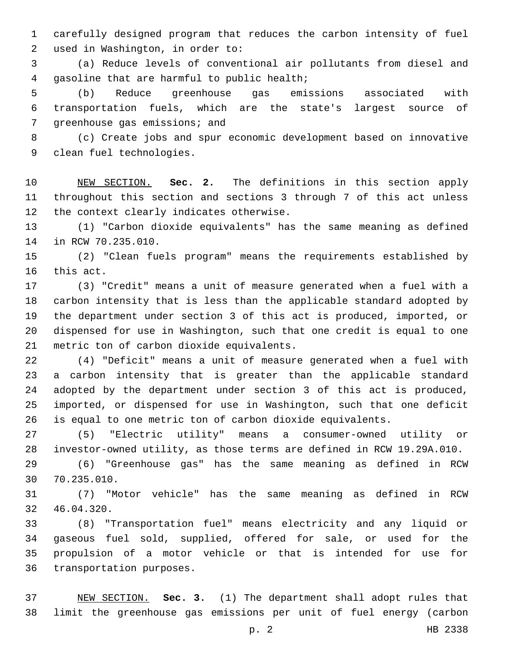carefully designed program that reduces the carbon intensity of fuel 2 used in Washington, in order to:

 (a) Reduce levels of conventional air pollutants from diesel and 4 qasoline that are harmful to public health;

 (b) Reduce greenhouse gas emissions associated with transportation fuels, which are the state's largest source of 7 greenhouse gas emissions; and

 (c) Create jobs and spur economic development based on innovative 9 clean fuel technologies.

 NEW SECTION. **Sec. 2.** The definitions in this section apply throughout this section and sections 3 through 7 of this act unless the context clearly indicates otherwise.

 (1) "Carbon dioxide equivalents" has the same meaning as defined 14 in RCW 70.235.010.

 (2) "Clean fuels program" means the requirements established by 16 this act.

 (3) "Credit" means a unit of measure generated when a fuel with a carbon intensity that is less than the applicable standard adopted by the department under section 3 of this act is produced, imported, or dispensed for use in Washington, such that one credit is equal to one 21 metric ton of carbon dioxide equivalents.

 (4) "Deficit" means a unit of measure generated when a fuel with a carbon intensity that is greater than the applicable standard adopted by the department under section 3 of this act is produced, imported, or dispensed for use in Washington, such that one deficit is equal to one metric ton of carbon dioxide equivalents.

 (5) "Electric utility" means a consumer-owned utility or investor-owned utility, as those terms are defined in RCW 19.29A.010.

 (6) "Greenhouse gas" has the same meaning as defined in RCW 70.235.010.30

 (7) "Motor vehicle" has the same meaning as defined in RCW 32 46.04.320.

 (8) "Transportation fuel" means electricity and any liquid or gaseous fuel sold, supplied, offered for sale, or used for the propulsion of a motor vehicle or that is intended for use for 36 transportation purposes.

 NEW SECTION. **Sec. 3.** (1) The department shall adopt rules that limit the greenhouse gas emissions per unit of fuel energy (carbon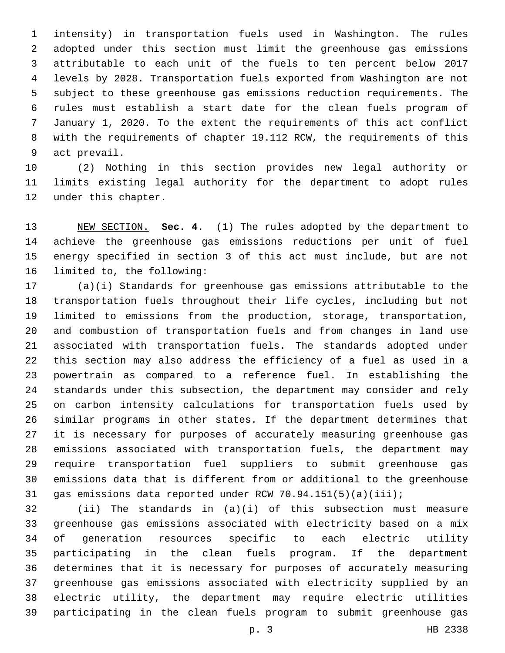intensity) in transportation fuels used in Washington. The rules adopted under this section must limit the greenhouse gas emissions attributable to each unit of the fuels to ten percent below 2017 levels by 2028. Transportation fuels exported from Washington are not subject to these greenhouse gas emissions reduction requirements. The rules must establish a start date for the clean fuels program of January 1, 2020. To the extent the requirements of this act conflict with the requirements of chapter 19.112 RCW, the requirements of this 9 act prevail.

 (2) Nothing in this section provides new legal authority or limits existing legal authority for the department to adopt rules 12 under this chapter.

 NEW SECTION. **Sec. 4.** (1) The rules adopted by the department to achieve the greenhouse gas emissions reductions per unit of fuel energy specified in section 3 of this act must include, but are not limited to, the following:

 (a)(i) Standards for greenhouse gas emissions attributable to the transportation fuels throughout their life cycles, including but not limited to emissions from the production, storage, transportation, and combustion of transportation fuels and from changes in land use associated with transportation fuels. The standards adopted under this section may also address the efficiency of a fuel as used in a powertrain as compared to a reference fuel. In establishing the standards under this subsection, the department may consider and rely on carbon intensity calculations for transportation fuels used by similar programs in other states. If the department determines that it is necessary for purposes of accurately measuring greenhouse gas emissions associated with transportation fuels, the department may require transportation fuel suppliers to submit greenhouse gas emissions data that is different from or additional to the greenhouse gas emissions data reported under RCW 70.94.151(5)(a)(iii);

 (ii) The standards in (a)(i) of this subsection must measure greenhouse gas emissions associated with electricity based on a mix of generation resources specific to each electric utility participating in the clean fuels program. If the department determines that it is necessary for purposes of accurately measuring greenhouse gas emissions associated with electricity supplied by an electric utility, the department may require electric utilities participating in the clean fuels program to submit greenhouse gas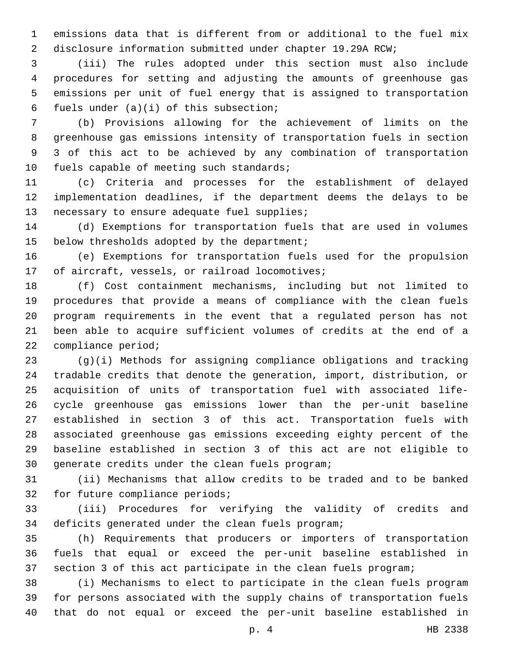emissions data that is different from or additional to the fuel mix disclosure information submitted under chapter 19.29A RCW;

 (iii) The rules adopted under this section must also include procedures for setting and adjusting the amounts of greenhouse gas emissions per unit of fuel energy that is assigned to transportation 6 fuels under  $(a)(i)$  of this subsection;

 (b) Provisions allowing for the achievement of limits on the greenhouse gas emissions intensity of transportation fuels in section 3 of this act to be achieved by any combination of transportation 10 fuels capable of meeting such standards;

 (c) Criteria and processes for the establishment of delayed implementation deadlines, if the department deems the delays to be 13 necessary to ensure adequate fuel supplies;

 (d) Exemptions for transportation fuels that are used in volumes 15 below thresholds adopted by the department;

 (e) Exemptions for transportation fuels used for the propulsion 17 of aircraft, vessels, or railroad locomotives;

 (f) Cost containment mechanisms, including but not limited to procedures that provide a means of compliance with the clean fuels program requirements in the event that a regulated person has not been able to acquire sufficient volumes of credits at the end of a compliance period;

 (g)(i) Methods for assigning compliance obligations and tracking tradable credits that denote the generation, import, distribution, or acquisition of units of transportation fuel with associated life- cycle greenhouse gas emissions lower than the per-unit baseline established in section 3 of this act. Transportation fuels with associated greenhouse gas emissions exceeding eighty percent of the baseline established in section 3 of this act are not eligible to 30 generate credits under the clean fuels program;

 (ii) Mechanisms that allow credits to be traded and to be banked 32 for future compliance periods;

 (iii) Procedures for verifying the validity of credits and 34 deficits generated under the clean fuels program;

 (h) Requirements that producers or importers of transportation fuels that equal or exceed the per-unit baseline established in section 3 of this act participate in the clean fuels program;

 (i) Mechanisms to elect to participate in the clean fuels program for persons associated with the supply chains of transportation fuels that do not equal or exceed the per-unit baseline established in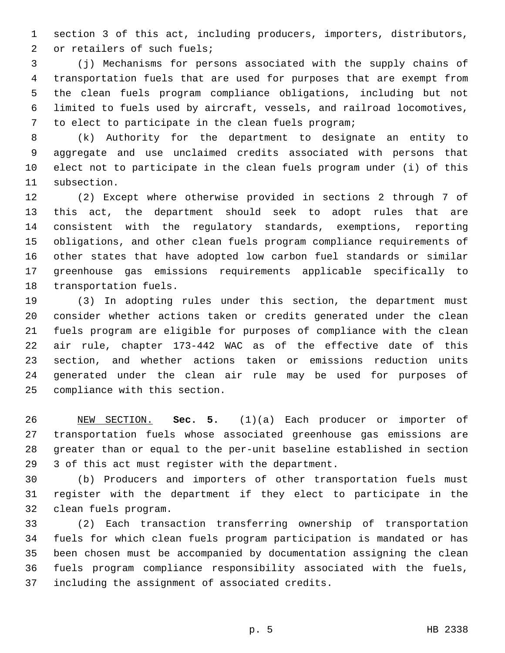section 3 of this act, including producers, importers, distributors, 2 or retailers of such fuels;

 (j) Mechanisms for persons associated with the supply chains of transportation fuels that are used for purposes that are exempt from the clean fuels program compliance obligations, including but not limited to fuels used by aircraft, vessels, and railroad locomotives, to elect to participate in the clean fuels program;

 (k) Authority for the department to designate an entity to aggregate and use unclaimed credits associated with persons that elect not to participate in the clean fuels program under (i) of this subsection.

 (2) Except where otherwise provided in sections 2 through 7 of this act, the department should seek to adopt rules that are consistent with the regulatory standards, exemptions, reporting obligations, and other clean fuels program compliance requirements of other states that have adopted low carbon fuel standards or similar greenhouse gas emissions requirements applicable specifically to 18 transportation fuels.

 (3) In adopting rules under this section, the department must consider whether actions taken or credits generated under the clean fuels program are eligible for purposes of compliance with the clean air rule, chapter 173-442 WAC as of the effective date of this section, and whether actions taken or emissions reduction units generated under the clean air rule may be used for purposes of 25 compliance with this section.

 NEW SECTION. **Sec. 5.** (1)(a) Each producer or importer of transportation fuels whose associated greenhouse gas emissions are greater than or equal to the per-unit baseline established in section 3 of this act must register with the department.

 (b) Producers and importers of other transportation fuels must register with the department if they elect to participate in the 32 clean fuels program.

 (2) Each transaction transferring ownership of transportation fuels for which clean fuels program participation is mandated or has been chosen must be accompanied by documentation assigning the clean fuels program compliance responsibility associated with the fuels, 37 including the assignment of associated credits.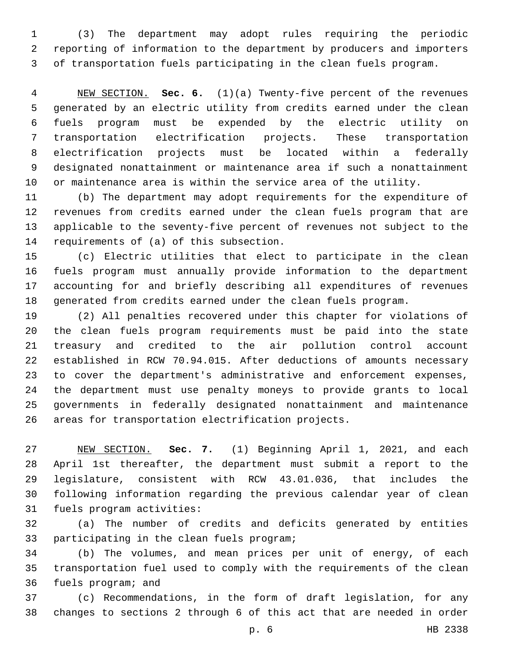(3) The department may adopt rules requiring the periodic reporting of information to the department by producers and importers of transportation fuels participating in the clean fuels program.

 NEW SECTION. **Sec. 6.** (1)(a) Twenty-five percent of the revenues generated by an electric utility from credits earned under the clean fuels program must be expended by the electric utility on transportation electrification projects. These transportation electrification projects must be located within a federally designated nonattainment or maintenance area if such a nonattainment or maintenance area is within the service area of the utility.

 (b) The department may adopt requirements for the expenditure of revenues from credits earned under the clean fuels program that are applicable to the seventy-five percent of revenues not subject to the 14 requirements of (a) of this subsection.

 (c) Electric utilities that elect to participate in the clean fuels program must annually provide information to the department accounting for and briefly describing all expenditures of revenues generated from credits earned under the clean fuels program.

 (2) All penalties recovered under this chapter for violations of the clean fuels program requirements must be paid into the state treasury and credited to the air pollution control account established in RCW 70.94.015. After deductions of amounts necessary to cover the department's administrative and enforcement expenses, the department must use penalty moneys to provide grants to local governments in federally designated nonattainment and maintenance areas for transportation electrification projects.

 NEW SECTION. **Sec. 7.** (1) Beginning April 1, 2021, and each April 1st thereafter, the department must submit a report to the legislature, consistent with RCW 43.01.036, that includes the following information regarding the previous calendar year of clean fuels program activities:

 (a) The number of credits and deficits generated by entities 33 participating in the clean fuels program;

 (b) The volumes, and mean prices per unit of energy, of each transportation fuel used to comply with the requirements of the clean 36 fuels program; and

 (c) Recommendations, in the form of draft legislation, for any changes to sections 2 through 6 of this act that are needed in order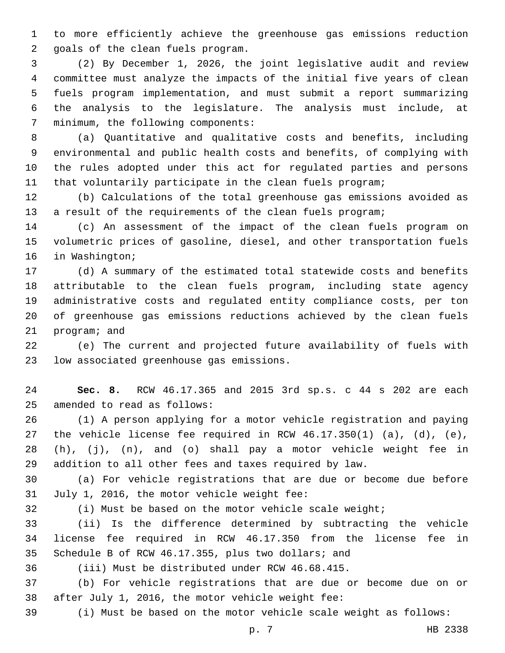to more efficiently achieve the greenhouse gas emissions reduction 2 goals of the clean fuels program.

 (2) By December 1, 2026, the joint legislative audit and review committee must analyze the impacts of the initial five years of clean fuels program implementation, and must submit a report summarizing the analysis to the legislature. The analysis must include, at 7 minimum, the following components:

 (a) Quantitative and qualitative costs and benefits, including environmental and public health costs and benefits, of complying with the rules adopted under this act for regulated parties and persons that voluntarily participate in the clean fuels program;

 (b) Calculations of the total greenhouse gas emissions avoided as a result of the requirements of the clean fuels program;

 (c) An assessment of the impact of the clean fuels program on volumetric prices of gasoline, diesel, and other transportation fuels 16 in Washington;

 (d) A summary of the estimated total statewide costs and benefits attributable to the clean fuels program, including state agency administrative costs and regulated entity compliance costs, per ton of greenhouse gas emissions reductions achieved by the clean fuels 21 program; and

 (e) The current and projected future availability of fuels with 23 low associated greenhouse gas emissions.

 **Sec. 8.** RCW 46.17.365 and 2015 3rd sp.s. c 44 s 202 are each 25 amended to read as follows:

 (1) A person applying for a motor vehicle registration and paying the vehicle license fee required in RCW 46.17.350(1) (a), (d), (e), (h), (j), (n), and (o) shall pay a motor vehicle weight fee in addition to all other fees and taxes required by law.

 (a) For vehicle registrations that are due or become due before 31 July 1, 2016, the motor vehicle weight fee:

(i) Must be based on the motor vehicle scale weight;

 (ii) Is the difference determined by subtracting the vehicle license fee required in RCW 46.17.350 from the license fee in Schedule B of RCW 46.17.355, plus two dollars; and

(iii) Must be distributed under RCW 46.68.415.

 (b) For vehicle registrations that are due or become due on or 38 after July 1, 2016, the motor vehicle weight fee:

(i) Must be based on the motor vehicle scale weight as follows: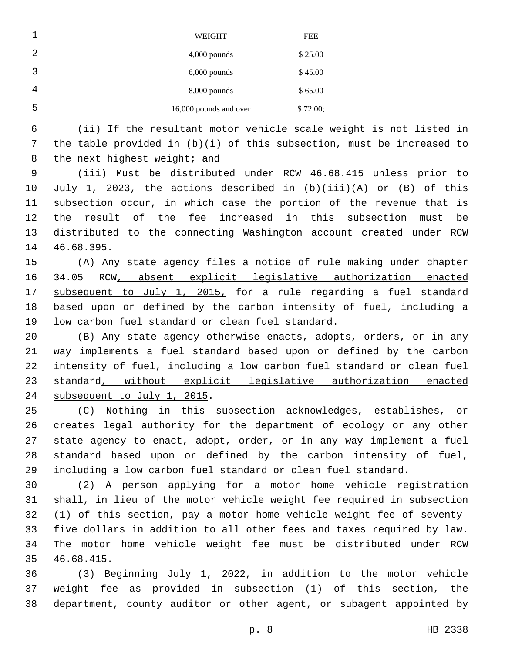|   | WEIGHT                 | <b>FEE</b> |
|---|------------------------|------------|
| 2 | $4,000$ pounds         | \$25.00    |
| 3 | $6,000$ pounds         | \$45.00    |
| 4 | $8,000$ pounds         | \$65.00    |
| 5 | 16,000 pounds and over | \$72.00;   |

 (ii) If the resultant motor vehicle scale weight is not listed in the table provided in (b)(i) of this subsection, must be increased to 8 the next highest weight; and

 (iii) Must be distributed under RCW 46.68.415 unless prior to July 1, 2023, the actions described in (b)(iii)(A) or (B) of this subsection occur, in which case the portion of the revenue that is the result of the fee increased in this subsection must be distributed to the connecting Washington account created under RCW 14 46.68.395.

 (A) Any state agency files a notice of rule making under chapter 34.05 RCW, absent explicit legislative authorization enacted 17 subsequent to July 1, 2015, for a rule regarding a fuel standard based upon or defined by the carbon intensity of fuel, including a 19 low carbon fuel standard or clean fuel standard.

20 (B) Any state agency otherwise enacts, adopts, orders, or in any way implements a fuel standard based upon or defined by the carbon intensity of fuel, including a low carbon fuel standard or clean fuel standard, without explicit legislative authorization enacted 24 subsequent to July 1, 2015.

 (C) Nothing in this subsection acknowledges, establishes, or creates legal authority for the department of ecology or any other state agency to enact, adopt, order, or in any way implement a fuel standard based upon or defined by the carbon intensity of fuel, including a low carbon fuel standard or clean fuel standard.

 (2) A person applying for a motor home vehicle registration shall, in lieu of the motor vehicle weight fee required in subsection (1) of this section, pay a motor home vehicle weight fee of seventy- five dollars in addition to all other fees and taxes required by law. The motor home vehicle weight fee must be distributed under RCW 46.68.415.35

 (3) Beginning July 1, 2022, in addition to the motor vehicle weight fee as provided in subsection (1) of this section, the department, county auditor or other agent, or subagent appointed by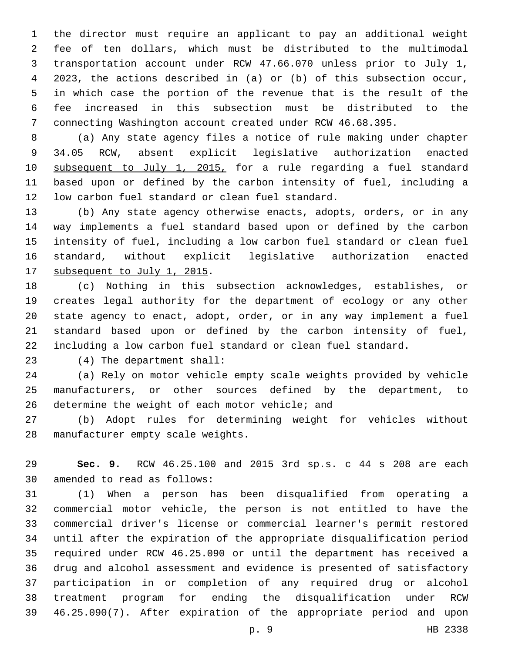the director must require an applicant to pay an additional weight fee of ten dollars, which must be distributed to the multimodal transportation account under RCW 47.66.070 unless prior to July 1, 2023, the actions described in (a) or (b) of this subsection occur, in which case the portion of the revenue that is the result of the fee increased in this subsection must be distributed to the connecting Washington account created under RCW 46.68.395.

 (a) Any state agency files a notice of rule making under chapter 9 34.05 RCW, absent explicit legislative authorization enacted subsequent to July 1, 2015, for a rule regarding a fuel standard based upon or defined by the carbon intensity of fuel, including a 12 low carbon fuel standard or clean fuel standard.

 (b) Any state agency otherwise enacts, adopts, orders, or in any way implements a fuel standard based upon or defined by the carbon intensity of fuel, including a low carbon fuel standard or clean fuel standard, without explicit legislative authorization enacted 17 subsequent to July 1, 2015.

 (c) Nothing in this subsection acknowledges, establishes, or creates legal authority for the department of ecology or any other state agency to enact, adopt, order, or in any way implement a fuel standard based upon or defined by the carbon intensity of fuel, including a low carbon fuel standard or clean fuel standard.

(4) The department shall:23

 (a) Rely on motor vehicle empty scale weights provided by vehicle manufacturers, or other sources defined by the department, to 26 determine the weight of each motor vehicle; and

 (b) Adopt rules for determining weight for vehicles without 28 manufacturer empty scale weights.

 **Sec. 9.** RCW 46.25.100 and 2015 3rd sp.s. c 44 s 208 are each 30 amended to read as follows:

 (1) When a person has been disqualified from operating a commercial motor vehicle, the person is not entitled to have the commercial driver's license or commercial learner's permit restored until after the expiration of the appropriate disqualification period required under RCW 46.25.090 or until the department has received a drug and alcohol assessment and evidence is presented of satisfactory participation in or completion of any required drug or alcohol treatment program for ending the disqualification under RCW 46.25.090(7). After expiration of the appropriate period and upon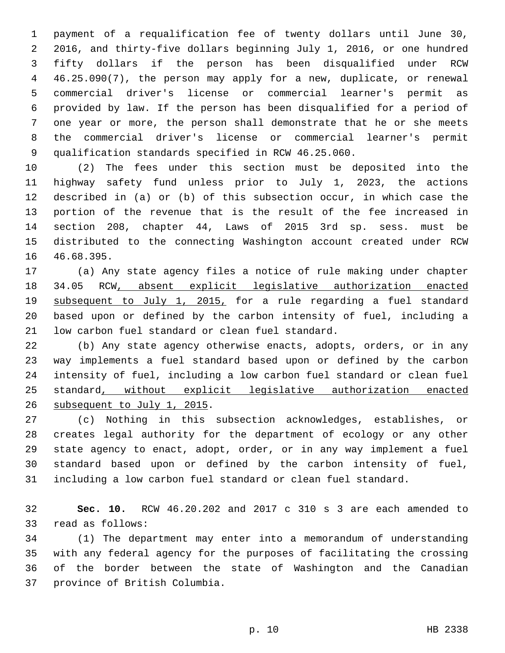payment of a requalification fee of twenty dollars until June 30, 2016, and thirty-five dollars beginning July 1, 2016, or one hundred fifty dollars if the person has been disqualified under RCW 46.25.090(7), the person may apply for a new, duplicate, or renewal commercial driver's license or commercial learner's permit as provided by law. If the person has been disqualified for a period of one year or more, the person shall demonstrate that he or she meets the commercial driver's license or commercial learner's permit qualification standards specified in RCW 46.25.060.

 (2) The fees under this section must be deposited into the highway safety fund unless prior to July 1, 2023, the actions described in (a) or (b) of this subsection occur, in which case the portion of the revenue that is the result of the fee increased in section 208, chapter 44, Laws of 2015 3rd sp. sess. must be distributed to the connecting Washington account created under RCW 16 46.68.395.

 (a) Any state agency files a notice of rule making under chapter 34.05 RCW, absent explicit legislative authorization enacted subsequent to July 1, 2015, for a rule regarding a fuel standard based upon or defined by the carbon intensity of fuel, including a 21 low carbon fuel standard or clean fuel standard.

22 (b) Any state agency otherwise enacts, adopts, orders, or in any way implements a fuel standard based upon or defined by the carbon intensity of fuel, including a low carbon fuel standard or clean fuel standard, without explicit legislative authorization enacted 26 subsequent to July 1, 2015.

 (c) Nothing in this subsection acknowledges, establishes, or creates legal authority for the department of ecology or any other state agency to enact, adopt, order, or in any way implement a fuel standard based upon or defined by the carbon intensity of fuel, including a low carbon fuel standard or clean fuel standard.

 **Sec. 10.** RCW 46.20.202 and 2017 c 310 s 3 are each amended to 33 read as follows:

 (1) The department may enter into a memorandum of understanding with any federal agency for the purposes of facilitating the crossing of the border between the state of Washington and the Canadian 37 province of British Columbia.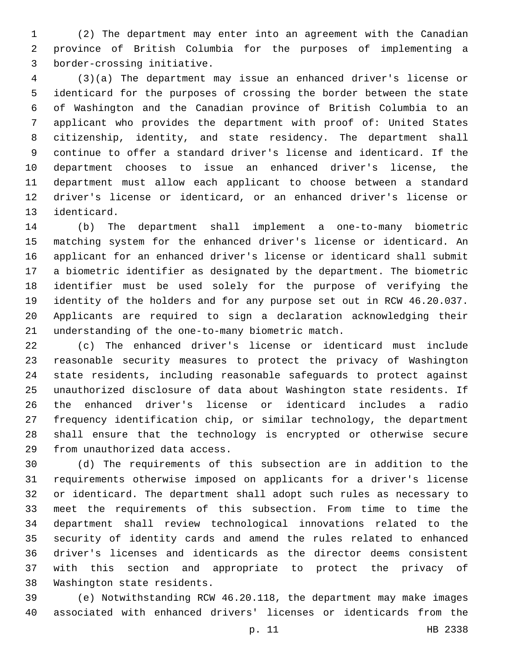(2) The department may enter into an agreement with the Canadian province of British Columbia for the purposes of implementing a 3 border-crossing initiative.

 (3)(a) The department may issue an enhanced driver's license or identicard for the purposes of crossing the border between the state of Washington and the Canadian province of British Columbia to an applicant who provides the department with proof of: United States citizenship, identity, and state residency. The department shall continue to offer a standard driver's license and identicard. If the department chooses to issue an enhanced driver's license, the department must allow each applicant to choose between a standard driver's license or identicard, or an enhanced driver's license or 13 identicard.

 (b) The department shall implement a one-to-many biometric matching system for the enhanced driver's license or identicard. An applicant for an enhanced driver's license or identicard shall submit a biometric identifier as designated by the department. The biometric identifier must be used solely for the purpose of verifying the identity of the holders and for any purpose set out in RCW 46.20.037. Applicants are required to sign a declaration acknowledging their 21 understanding of the one-to-many biometric match.

 (c) The enhanced driver's license or identicard must include reasonable security measures to protect the privacy of Washington state residents, including reasonable safeguards to protect against unauthorized disclosure of data about Washington state residents. If the enhanced driver's license or identicard includes a radio frequency identification chip, or similar technology, the department shall ensure that the technology is encrypted or otherwise secure 29 from unauthorized data access.

 (d) The requirements of this subsection are in addition to the requirements otherwise imposed on applicants for a driver's license or identicard. The department shall adopt such rules as necessary to meet the requirements of this subsection. From time to time the department shall review technological innovations related to the security of identity cards and amend the rules related to enhanced driver's licenses and identicards as the director deems consistent with this section and appropriate to protect the privacy of 38 Washington state residents.

 (e) Notwithstanding RCW 46.20.118, the department may make images associated with enhanced drivers' licenses or identicards from the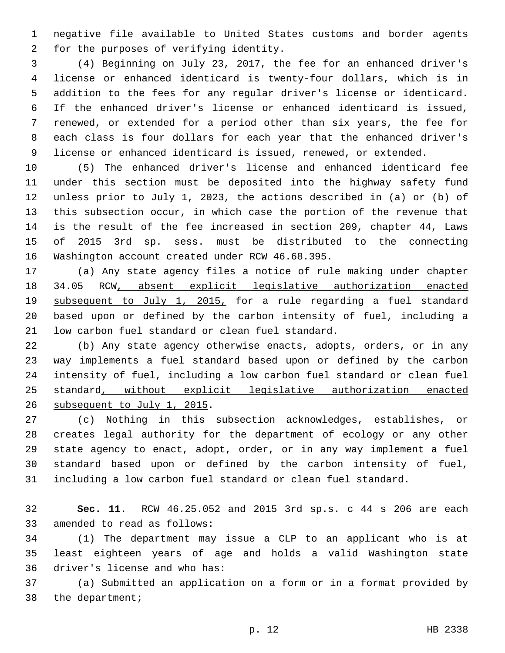negative file available to United States customs and border agents 2 for the purposes of verifying identity.

 (4) Beginning on July 23, 2017, the fee for an enhanced driver's license or enhanced identicard is twenty-four dollars, which is in addition to the fees for any regular driver's license or identicard. If the enhanced driver's license or enhanced identicard is issued, renewed, or extended for a period other than six years, the fee for each class is four dollars for each year that the enhanced driver's license or enhanced identicard is issued, renewed, or extended.

 (5) The enhanced driver's license and enhanced identicard fee under this section must be deposited into the highway safety fund unless prior to July 1, 2023, the actions described in (a) or (b) of this subsection occur, in which case the portion of the revenue that is the result of the fee increased in section 209, chapter 44, Laws of 2015 3rd sp. sess. must be distributed to the connecting 16 Washington account created under RCW 46.68.395.

 (a) Any state agency files a notice of rule making under chapter 34.05 RCW, absent explicit legislative authorization enacted subsequent to July 1, 2015, for a rule regarding a fuel standard based upon or defined by the carbon intensity of fuel, including a 21 low carbon fuel standard or clean fuel standard.

22 (b) Any state agency otherwise enacts, adopts, orders, or in any way implements a fuel standard based upon or defined by the carbon intensity of fuel, including a low carbon fuel standard or clean fuel standard, without explicit legislative authorization enacted 26 subsequent to July 1, 2015.

 (c) Nothing in this subsection acknowledges, establishes, or creates legal authority for the department of ecology or any other state agency to enact, adopt, order, or in any way implement a fuel standard based upon or defined by the carbon intensity of fuel, including a low carbon fuel standard or clean fuel standard.

 **Sec. 11.** RCW 46.25.052 and 2015 3rd sp.s. c 44 s 206 are each 33 amended to read as follows:

 (1) The department may issue a CLP to an applicant who is at least eighteen years of age and holds a valid Washington state 36 driver's license and who has:

 (a) Submitted an application on a form or in a format provided by 38 the department;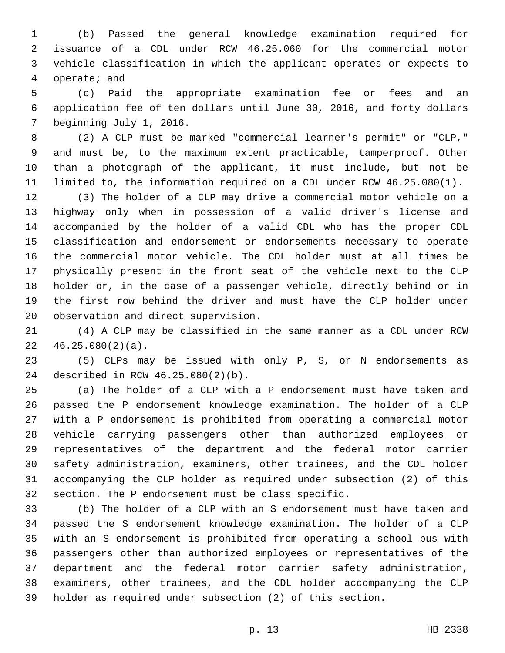(b) Passed the general knowledge examination required for issuance of a CDL under RCW 46.25.060 for the commercial motor vehicle classification in which the applicant operates or expects to 4 operate; and

 (c) Paid the appropriate examination fee or fees and an application fee of ten dollars until June 30, 2016, and forty dollars 7 beginning July 1, 2016.

 (2) A CLP must be marked "commercial learner's permit" or "CLP," and must be, to the maximum extent practicable, tamperproof. Other than a photograph of the applicant, it must include, but not be limited to, the information required on a CDL under RCW 46.25.080(1).

 (3) The holder of a CLP may drive a commercial motor vehicle on a highway only when in possession of a valid driver's license and accompanied by the holder of a valid CDL who has the proper CDL classification and endorsement or endorsements necessary to operate the commercial motor vehicle. The CDL holder must at all times be physically present in the front seat of the vehicle next to the CLP holder or, in the case of a passenger vehicle, directly behind or in the first row behind the driver and must have the CLP holder under 20 observation and direct supervision.

 (4) A CLP may be classified in the same manner as a CDL under RCW  $22 \quad 46.25.080(2)(a)$ .

 (5) CLPs may be issued with only P, S, or N endorsements as 24 described in RCW 46.25.080(2)(b).

 (a) The holder of a CLP with a P endorsement must have taken and passed the P endorsement knowledge examination. The holder of a CLP with a P endorsement is prohibited from operating a commercial motor vehicle carrying passengers other than authorized employees or representatives of the department and the federal motor carrier safety administration, examiners, other trainees, and the CDL holder accompanying the CLP holder as required under subsection (2) of this section. The P endorsement must be class specific.

 (b) The holder of a CLP with an S endorsement must have taken and passed the S endorsement knowledge examination. The holder of a CLP with an S endorsement is prohibited from operating a school bus with passengers other than authorized employees or representatives of the department and the federal motor carrier safety administration, examiners, other trainees, and the CDL holder accompanying the CLP holder as required under subsection (2) of this section.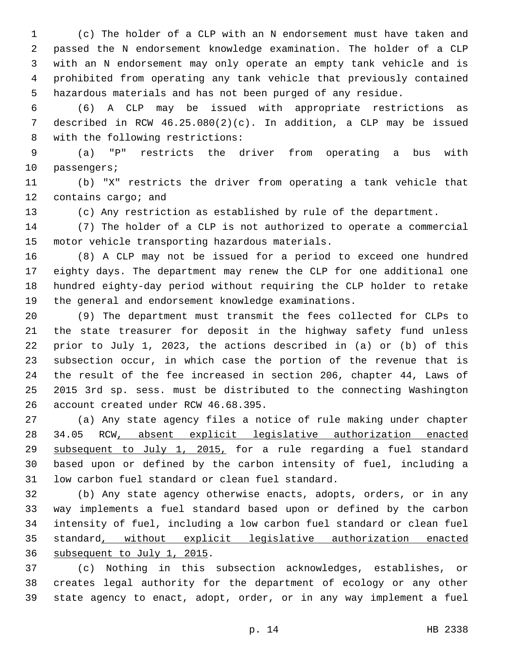(c) The holder of a CLP with an N endorsement must have taken and passed the N endorsement knowledge examination. The holder of a CLP with an N endorsement may only operate an empty tank vehicle and is prohibited from operating any tank vehicle that previously contained hazardous materials and has not been purged of any residue.

 (6) A CLP may be issued with appropriate restrictions as described in RCW 46.25.080(2)(c). In addition, a CLP may be issued 8 with the following restrictions:

 (a) "P" restricts the driver from operating a bus with 10 passengers;

 (b) "X" restricts the driver from operating a tank vehicle that 12 contains cargo; and

(c) Any restriction as established by rule of the department.

 (7) The holder of a CLP is not authorized to operate a commercial 15 motor vehicle transporting hazardous materials.

 (8) A CLP may not be issued for a period to exceed one hundred eighty days. The department may renew the CLP for one additional one hundred eighty-day period without requiring the CLP holder to retake the general and endorsement knowledge examinations.

 (9) The department must transmit the fees collected for CLPs to the state treasurer for deposit in the highway safety fund unless prior to July 1, 2023, the actions described in (a) or (b) of this subsection occur, in which case the portion of the revenue that is the result of the fee increased in section 206, chapter 44, Laws of 2015 3rd sp. sess. must be distributed to the connecting Washington 26 account created under RCW 46.68.395.

 (a) Any state agency files a notice of rule making under chapter 34.05 RCW, absent explicit legislative authorization enacted subsequent to July 1, 2015, for a rule regarding a fuel standard based upon or defined by the carbon intensity of fuel, including a 31 low carbon fuel standard or clean fuel standard.

 (b) Any state agency otherwise enacts, adopts, orders, or in any way implements a fuel standard based upon or defined by the carbon intensity of fuel, including a low carbon fuel standard or clean fuel standard, without explicit legislative authorization enacted 36 subsequent to July 1, 2015.

 (c) Nothing in this subsection acknowledges, establishes, or creates legal authority for the department of ecology or any other state agency to enact, adopt, order, or in any way implement a fuel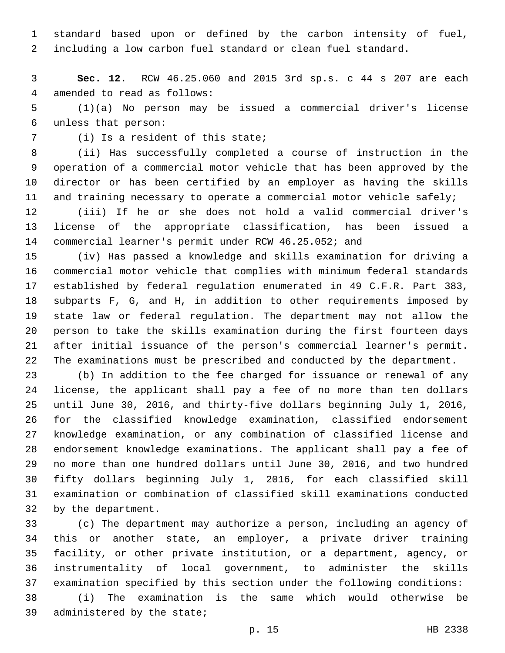standard based upon or defined by the carbon intensity of fuel, including a low carbon fuel standard or clean fuel standard.

 **Sec. 12.** RCW 46.25.060 and 2015 3rd sp.s. c 44 s 207 are each 4 amended to read as follows:

 (1)(a) No person may be issued a commercial driver's license unless that person:6

7 (i) Is a resident of this state;

 (ii) Has successfully completed a course of instruction in the operation of a commercial motor vehicle that has been approved by the director or has been certified by an employer as having the skills and training necessary to operate a commercial motor vehicle safely;

 (iii) If he or she does not hold a valid commercial driver's license of the appropriate classification, has been issued a commercial learner's permit under RCW 46.25.052; and

 (iv) Has passed a knowledge and skills examination for driving a commercial motor vehicle that complies with minimum federal standards established by federal regulation enumerated in 49 C.F.R. Part 383, subparts F, G, and H, in addition to other requirements imposed by state law or federal regulation. The department may not allow the person to take the skills examination during the first fourteen days after initial issuance of the person's commercial learner's permit. The examinations must be prescribed and conducted by the department.

 (b) In addition to the fee charged for issuance or renewal of any license, the applicant shall pay a fee of no more than ten dollars until June 30, 2016, and thirty-five dollars beginning July 1, 2016, for the classified knowledge examination, classified endorsement knowledge examination, or any combination of classified license and endorsement knowledge examinations. The applicant shall pay a fee of no more than one hundred dollars until June 30, 2016, and two hundred fifty dollars beginning July 1, 2016, for each classified skill examination or combination of classified skill examinations conducted 32 by the department.

 (c) The department may authorize a person, including an agency of this or another state, an employer, a private driver training facility, or other private institution, or a department, agency, or instrumentality of local government, to administer the skills examination specified by this section under the following conditions: (i) The examination is the same which would otherwise be

39 administered by the state;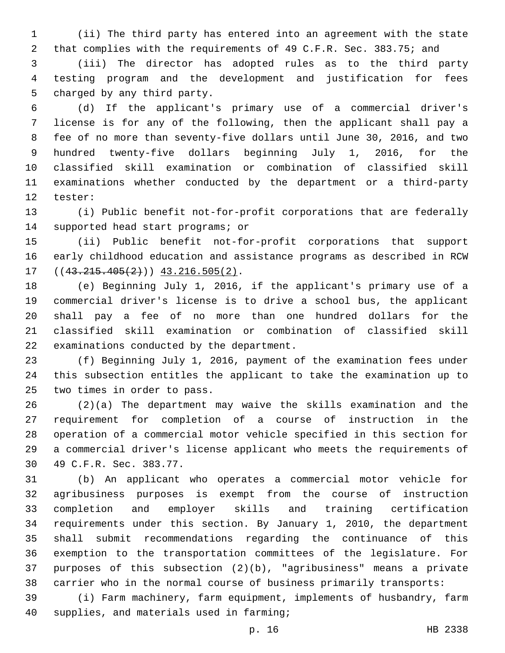(ii) The third party has entered into an agreement with the state that complies with the requirements of 49 C.F.R. Sec. 383.75; and

 (iii) The director has adopted rules as to the third party testing program and the development and justification for fees 5 charged by any third party.

 (d) If the applicant's primary use of a commercial driver's license is for any of the following, then the applicant shall pay a fee of no more than seventy-five dollars until June 30, 2016, and two hundred twenty-five dollars beginning July 1, 2016, for the classified skill examination or combination of classified skill examinations whether conducted by the department or a third-party 12 tester:

 (i) Public benefit not-for-profit corporations that are federally 14 supported head start programs; or

 (ii) Public benefit not-for-profit corporations that support early childhood education and assistance programs as described in RCW  $((43.215.405(2)))$   $43.216.505(2)$ .

 (e) Beginning July 1, 2016, if the applicant's primary use of a commercial driver's license is to drive a school bus, the applicant shall pay a fee of no more than one hundred dollars for the classified skill examination or combination of classified skill 22 examinations conducted by the department.

 (f) Beginning July 1, 2016, payment of the examination fees under this subsection entitles the applicant to take the examination up to 25 two times in order to pass.

 (2)(a) The department may waive the skills examination and the requirement for completion of a course of instruction in the operation of a commercial motor vehicle specified in this section for a commercial driver's license applicant who meets the requirements of 30 49 C.F.R. Sec. 383.77.

 (b) An applicant who operates a commercial motor vehicle for agribusiness purposes is exempt from the course of instruction completion and employer skills and training certification requirements under this section. By January 1, 2010, the department shall submit recommendations regarding the continuance of this exemption to the transportation committees of the legislature. For purposes of this subsection (2)(b), "agribusiness" means a private carrier who in the normal course of business primarily transports:

 (i) Farm machinery, farm equipment, implements of husbandry, farm 40 supplies, and materials used in farming;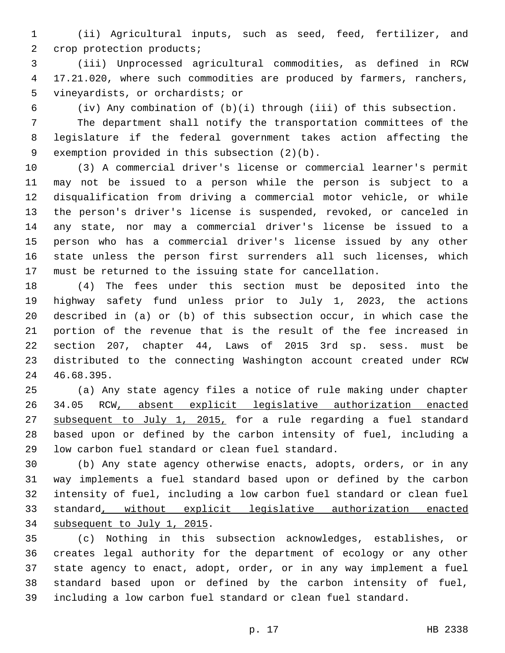(ii) Agricultural inputs, such as seed, feed, fertilizer, and 2 crop protection products;

 (iii) Unprocessed agricultural commodities, as defined in RCW 17.21.020, where such commodities are produced by farmers, ranchers, 5 vineyardists, or orchardists; or

(iv) Any combination of (b)(i) through (iii) of this subsection.

 The department shall notify the transportation committees of the legislature if the federal government takes action affecting the 9 exemption provided in this subsection  $(2)(b)$ .

 (3) A commercial driver's license or commercial learner's permit may not be issued to a person while the person is subject to a disqualification from driving a commercial motor vehicle, or while the person's driver's license is suspended, revoked, or canceled in any state, nor may a commercial driver's license be issued to a person who has a commercial driver's license issued by any other state unless the person first surrenders all such licenses, which must be returned to the issuing state for cancellation.

 (4) The fees under this section must be deposited into the highway safety fund unless prior to July 1, 2023, the actions described in (a) or (b) of this subsection occur, in which case the portion of the revenue that is the result of the fee increased in section 207, chapter 44, Laws of 2015 3rd sp. sess. must be distributed to the connecting Washington account created under RCW 46.68.395.24

 (a) Any state agency files a notice of rule making under chapter 34.05 RCW, absent explicit legislative authorization enacted 27 subsequent to July 1, 2015, for a rule regarding a fuel standard based upon or defined by the carbon intensity of fuel, including a 29 low carbon fuel standard or clean fuel standard.

 (b) Any state agency otherwise enacts, adopts, orders, or in any way implements a fuel standard based upon or defined by the carbon intensity of fuel, including a low carbon fuel standard or clean fuel standard, without explicit legislative authorization enacted 34 subsequent to July 1, 2015.

 (c) Nothing in this subsection acknowledges, establishes, or creates legal authority for the department of ecology or any other state agency to enact, adopt, order, or in any way implement a fuel standard based upon or defined by the carbon intensity of fuel, including a low carbon fuel standard or clean fuel standard.